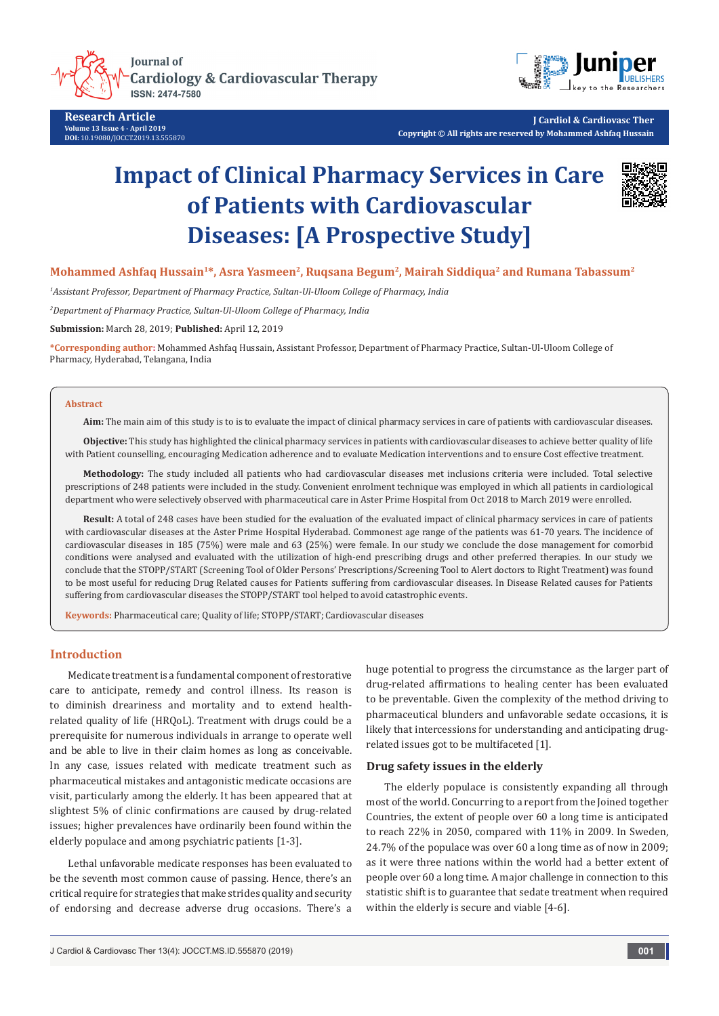

**Research Article Volume 13 Issue 4 - April 2019 DOI:** [10.19080/JOCCT.2019.13.555870](http://dx.doi.org/10.19080/JOCCT.2019.13.555870)



**J Cardiol & Cardiovasc Ther Copyright © All rights are reserved by Mohammed Ashfaq Hussain**

# **Impact of Clinical Pharmacy Services in Care of Patients with Cardiovascular Diseases: [A Prospective Study]**



# **Mohammed Ashfaq Hussain1\*, Asra Yasmeen2, Ruqsana Begum2, Mairah Siddiqua2 and Rumana Tabassum2**

*1 Assistant Professor, Department of Pharmacy Practice, Sultan-Ul-Uloom College of Pharmacy, India*

*2 Department of Pharmacy Practice, Sultan-Ul-Uloom College of Pharmacy, India*

**Submission:** March 28, 2019; **Published:** April 12, 2019

**\*Corresponding author:** Mohammed Ashfaq Hussain, Assistant Professor, Department of Pharmacy Practice, Sultan-Ul-Uloom College of Pharmacy, Hyderabad, Telangana, India

#### **Abstract**

**Aim:** The main aim of this study is to is to evaluate the impact of clinical pharmacy services in care of patients with cardiovascular diseases.

**Objective:** This study has highlighted the clinical pharmacy services in patients with cardiovascular diseases to achieve better quality of life with Patient counselling, encouraging Medication adherence and to evaluate Medication interventions and to ensure Cost effective treatment.

**Methodology:** The study included all patients who had cardiovascular diseases met inclusions criteria were included. Total selective prescriptions of 248 patients were included in the study. Convenient enrolment technique was employed in which all patients in cardiological department who were selectively observed with pharmaceutical care in Aster Prime Hospital from Oct 2018 to March 2019 were enrolled.

**Result:** A total of 248 cases have been studied for the evaluation of the evaluated impact of clinical pharmacy services in care of patients with cardiovascular diseases at the Aster Prime Hospital Hyderabad. Commonest age range of the patients was 61-70 years. The incidence of cardiovascular diseases in 185 (75%) were male and 63 (25%) were female. In our study we conclude the dose management for comorbid conditions were analysed and evaluated with the utilization of high-end prescribing drugs and other preferred therapies. In our study we conclude that the STOPP/START (Screening Tool of Older Persons' Prescriptions/Screening Tool to Alert doctors to Right Treatment) was found to be most useful for reducing Drug Related causes for Patients suffering from cardiovascular diseases. In Disease Related causes for Patients suffering from cardiovascular diseases the STOPP/START tool helped to avoid catastrophic events.

**Keywords:** Pharmaceutical care; Quality of life; STOPP/START; Cardiovascular diseases

# **Introduction**

Medicate treatment is a fundamental component of restorative care to anticipate, remedy and control illness. Its reason is to diminish dreariness and mortality and to extend healthrelated quality of life (HRQoL). Treatment with drugs could be a prerequisite for numerous individuals in arrange to operate well and be able to live in their claim homes as long as conceivable. In any case, issues related with medicate treatment such as pharmaceutical mistakes and antagonistic medicate occasions are visit, particularly among the elderly. It has been appeared that at slightest 5% of clinic confirmations are caused by drug-related issues; higher prevalences have ordinarily been found within the elderly populace and among psychiatric patients [1-3].

Lethal unfavorable medicate responses has been evaluated to be the seventh most common cause of passing. Hence, there's an critical require for strategies that make strides quality and security of endorsing and decrease adverse drug occasions. There's a

huge potential to progress the circumstance as the larger part of drug-related affirmations to healing center has been evaluated to be preventable. Given the complexity of the method driving to pharmaceutical blunders and unfavorable sedate occasions, it is likely that intercessions for understanding and anticipating drugrelated issues got to be multifaceted [1].

#### **Drug safety issues in the elderly**

The elderly populace is consistently expanding all through most of the world. Concurring to a report from the Joined together Countries, the extent of people over 60 a long time is anticipated to reach 22% in 2050, compared with 11% in 2009. In Sweden, 24.7% of the populace was over 60 a long time as of now in 2009; as it were three nations within the world had a better extent of people over 60 a long time. A major challenge in connection to this statistic shift is to guarantee that sedate treatment when required within the elderly is secure and viable [4-6].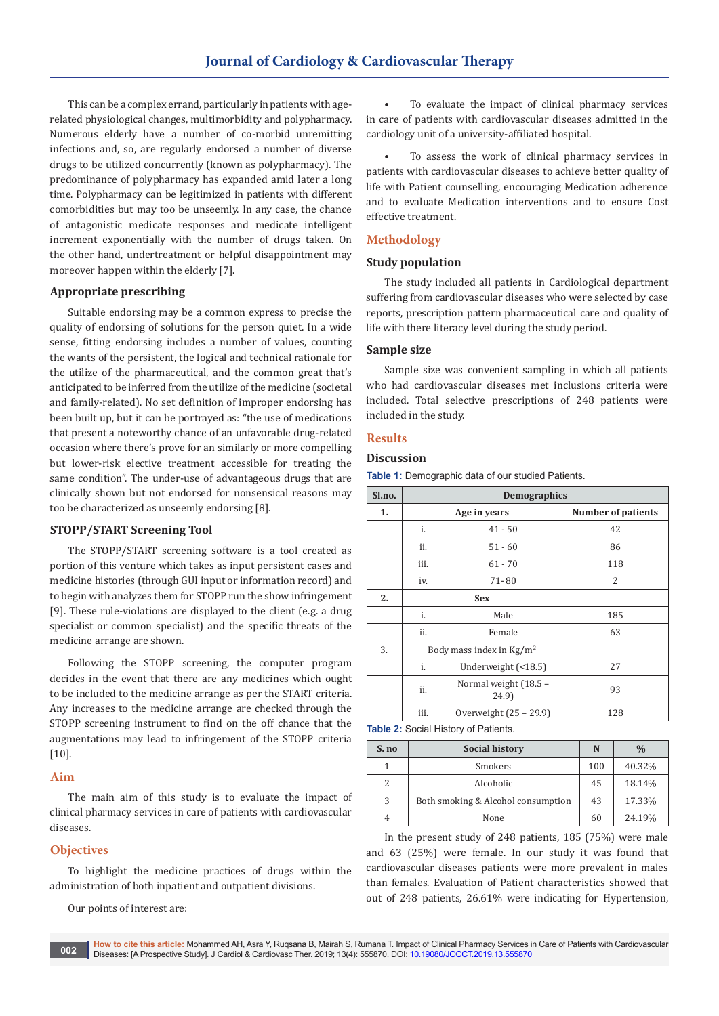This can be a complex errand, particularly in patients with agerelated physiological changes, multimorbidity and polypharmacy. Numerous elderly have a number of co-morbid unremitting infections and, so, are regularly endorsed a number of diverse drugs to be utilized concurrently (known as polypharmacy). The predominance of polypharmacy has expanded amid later a long time. Polypharmacy can be legitimized in patients with different comorbidities but may too be unseemly. In any case, the chance of antagonistic medicate responses and medicate intelligent increment exponentially with the number of drugs taken. On the other hand, undertreatment or helpful disappointment may moreover happen within the elderly [7].

#### **Appropriate prescribing**

Suitable endorsing may be a common express to precise the quality of endorsing of solutions for the person quiet. In a wide sense, fitting endorsing includes a number of values, counting the wants of the persistent, the logical and technical rationale for the utilize of the pharmaceutical, and the common great that's anticipated to be inferred from the utilize of the medicine (societal and family-related). No set definition of improper endorsing has been built up, but it can be portrayed as: "the use of medications that present a noteworthy chance of an unfavorable drug-related occasion where there's prove for an similarly or more compelling but lower-risk elective treatment accessible for treating the same condition". The under-use of advantageous drugs that are clinically shown but not endorsed for nonsensical reasons may too be characterized as unseemly endorsing [8].

#### **STOPP/START Screening Tool**

The STOPP/START screening software is a tool created as portion of this venture which takes as input persistent cases and medicine histories (through GUI input or information record) and to begin with analyzes them for STOPP run the show infringement [9]. These rule-violations are displayed to the client (e.g. a drug specialist or common specialist) and the specific threats of the medicine arrange are shown.

Following the STOPP screening, the computer program decides in the event that there are any medicines which ought to be included to the medicine arrange as per the START criteria. Any increases to the medicine arrange are checked through the STOPP screening instrument to find on the off chance that the augmentations may lead to infringement of the STOPP criteria [10].

#### **Aim**

The main aim of this study is to evaluate the impact of clinical pharmacy services in care of patients with cardiovascular diseases.

## **Objectives**

To highlight the medicine practices of drugs within the administration of both inpatient and outpatient divisions.

Our points of interest are:

To evaluate the impact of clinical pharmacy services in care of patients with cardiovascular diseases admitted in the cardiology unit of a university-affiliated hospital.

• To assess the work of clinical pharmacy services in patients with cardiovascular diseases to achieve better quality of life with Patient counselling, encouraging Medication adherence and to evaluate Medication interventions and to ensure Cost effective treatment.

#### **Methodology**

#### **Study population**

The study included all patients in Cardiological department suffering from cardiovascular diseases who were selected by case reports, prescription pattern pharmaceutical care and quality of life with there literacy level during the study period.

#### **Sample size**

Sample size was convenient sampling in which all patients who had cardiovascular diseases met inclusions criteria were included. Total selective prescriptions of 248 patients were included in the study.

## **Results**

#### **Discussion**

**Table 1:** Demographic data of our studied Patients.

| Sl.no. | <b>Demographics</b>                |                                |                           |
|--------|------------------------------------|--------------------------------|---------------------------|
| 1.     | Age in years                       |                                | <b>Number of patients</b> |
|        | i.                                 | $41 - 50$                      | 42                        |
|        | ii.                                | $51 - 60$                      | 86                        |
|        | iii.                               | $61 - 70$                      | 118                       |
|        | iv.                                | 71-80                          | 2                         |
| 2.     | <b>Sex</b>                         |                                |                           |
|        | i.                                 | Male                           | 185                       |
|        | ii.                                | Female                         | 63                        |
| 3.     | Body mass index in $\text{Kg/m}^2$ |                                |                           |
|        | i.                                 | Underweight (<18.5)            | 27                        |
|        | ii.                                | Normal weight (18.5 -<br>24.9) | 93                        |
|        | iii.                               | Overweight (25 - 29.9)         | 128                       |

**Table 2: Social History of Patients.** 

| S. no | <b>Social history</b>              | N   | $\frac{0}{0}$ |
|-------|------------------------------------|-----|---------------|
|       | Smokers                            | 100 | 40.32%        |
|       | Alcoholic                          | 45  | 18.14%        |
| 3     | Both smoking & Alcohol consumption | 43  | 17.33%        |
|       | None                               | 60  | 24.19%        |

In the present study of 248 patients, 185 (75%) were male and 63 (25%) were female. In our study it was found that cardiovascular diseases patients were more prevalent in males than females. Evaluation of Patient characteristics showed that out of 248 patients, 26.61% were indicating for Hypertension,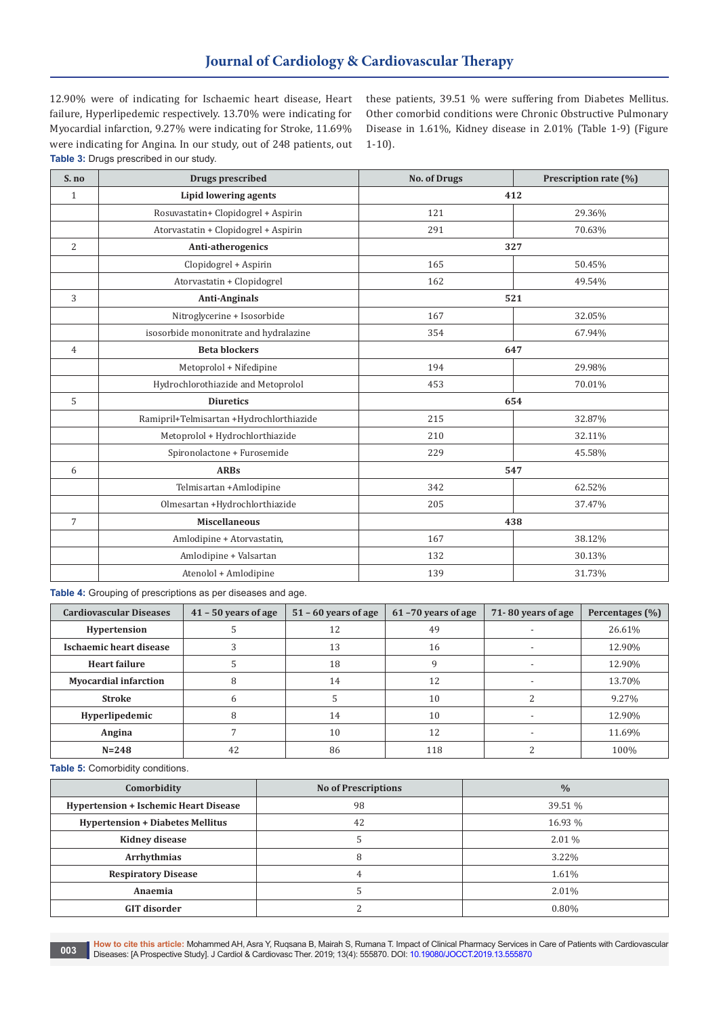# **Journal of Cardiology & Cardiovascular Therapy**

12.90% were of indicating for Ischaemic heart disease, Heart failure, Hyperlipedemic respectively. 13.70% were indicating for Myocardial infarction, 9.27% were indicating for Stroke, 11.69% were indicating for Angina. In our study, out of 248 patients, out **Table 3:** Drugs prescribed in our study.

these patients, 39.51 % were suffering from Diabetes Mellitus. Other comorbid conditions were Chronic Obstructive Pulmonary Disease in 1.61%, Kidney disease in 2.01% (Table 1-9) (Figure 1-10).

| $S$ . no       | Drugs prescribed                         | <b>No. of Drugs</b> | Prescription rate (%) |
|----------------|------------------------------------------|---------------------|-----------------------|
| $\mathbf{1}$   | Lipid lowering agents                    |                     | 412                   |
|                | Rosuvastatin+ Clopidogrel + Aspirin      | 121                 | 29.36%                |
|                | Atorvastatin + Clopidogrel + Aspirin     | 291                 | 70.63%                |
| 2              | Anti-atherogenics                        |                     | 327                   |
|                | Clopidogrel + Aspirin                    | 165                 | 50.45%                |
|                | Atorvastatin + Clopidogrel               | 162                 | 49.54%                |
| 3              | <b>Anti-Anginals</b>                     |                     | 521                   |
|                | Nitroglycerine + Isosorbide              | 167                 | 32.05%                |
|                | isosorbide mononitrate and hydralazine   | 354                 | 67.94%                |
| $\overline{4}$ | <b>Beta blockers</b>                     |                     | 647                   |
|                | Metoprolol + Nifedipine                  | 194                 | 29.98%                |
|                | Hydrochlorothiazide and Metoprolol       | 453                 | 70.01%                |
| 5              | <b>Diuretics</b>                         |                     | 654                   |
|                | Ramipril+Telmisartan +Hydrochlorthiazide | 215                 | 32.87%                |
|                | Metoprolol + Hydrochlorthiazide          | 210                 | 32.11%                |
|                | Spironolactone + Furosemide              | 229                 | 45.58%                |
| 6              | <b>ARBs</b>                              |                     | 547                   |
|                | Telmisartan +Amlodipine                  | 342                 | 62.52%                |
|                | Olmesartan +Hydrochlorthiazide           | 205                 | 37.47%                |
| $\overline{7}$ | <b>Miscellaneous</b>                     |                     | 438                   |
|                | Amlodipine + Atorvastatin,               | 167                 | 38.12%                |
|                | Amlodipine + Valsartan                   | 132                 | 30.13%                |
|                | Atenolol + Amlodipine                    | 139                 | 31.73%                |

**Table 4:** Grouping of prescriptions as per diseases and age.

| <b>Cardiovascular Diseases</b> | $41 - 50$ years of age | $51 - 60$ years of age | 61-70 years of age | 71-80 years of age | Percentages (%) |
|--------------------------------|------------------------|------------------------|--------------------|--------------------|-----------------|
| <b>Hypertension</b>            |                        | 12                     | 49                 |                    | 26.61%          |
| Ischaemic heart disease        |                        | 13                     | 16                 |                    | 12.90%          |
| <b>Heart failure</b>           |                        | 18                     |                    |                    | 12.90%          |
| <b>Myocardial infarction</b>   |                        | 14                     | 12                 |                    | 13.70%          |
| <b>Stroke</b>                  |                        |                        | 10                 |                    | 9.27%           |
| Hyperlipedemic                 |                        | 14                     | 10                 |                    | 12.90%          |
| Angina                         |                        | 10                     | 12                 |                    | 11.69%          |
| $N = 248$                      | 42                     | 86                     | 118                |                    | 100%            |

**Table 5:** Comorbidity conditions.

| Comorbidity                                  | <b>No of Prescriptions</b> | $\frac{0}{0}$ |
|----------------------------------------------|----------------------------|---------------|
| <b>Hypertension + Ischemic Heart Disease</b> | 98                         | 39.51 %       |
| <b>Hypertension + Diabetes Mellitus</b>      | 42                         | 16.93 %       |
| <b>Kidney disease</b>                        |                            | $2.01\%$      |
| Arrhythmias                                  |                            | 3.22%         |
| <b>Respiratory Disease</b>                   |                            | 1.61%         |
| Anaemia                                      |                            | 2.01%         |
| <b>GIT disorder</b>                          |                            | 0.80%         |

**How to cite this article:** Mohammed AH, Asra Y, Ruqsana B, Mairah S, Rumana T. Impact of Clinical Pharmacy Services in Care of Patients with Cardiovascular Diseases: [A Prospective Study]. J Cardiol & Cardiovasc Ther. 2019; 13(4): 555870. DOI: [10.19080/JOCCT.2019.13.555870](http://dx.doi.org/10.19080/JOCCT.2019.13.555870)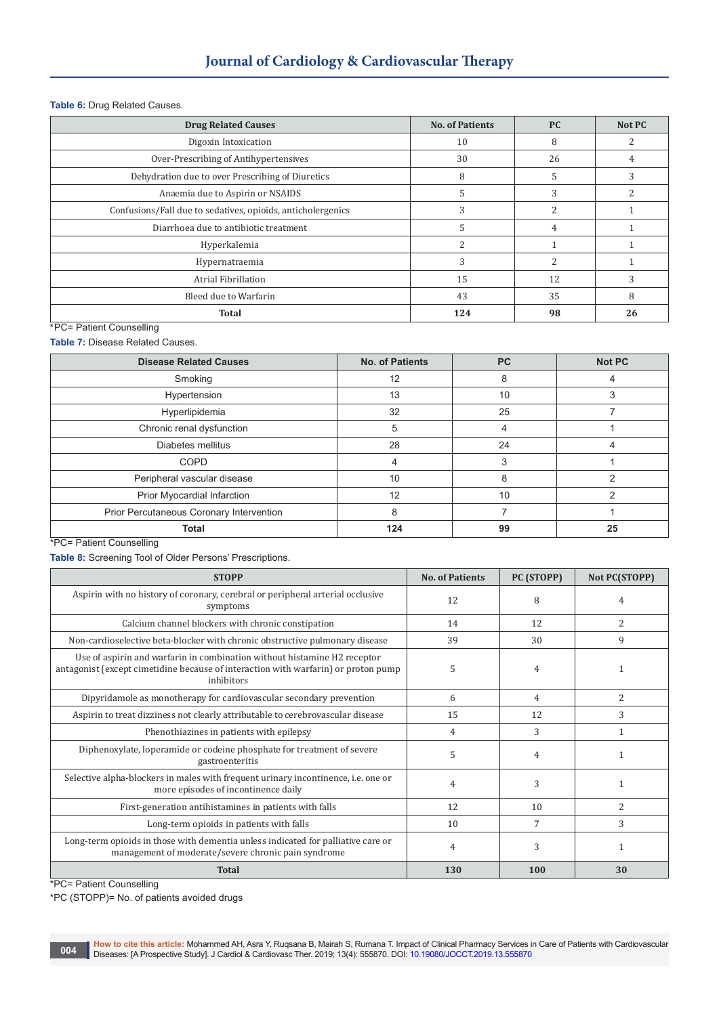#### **Table 6:** Drug Related Causes.

| <b>Drug Related Causes</b>                                  | <b>No. of Patients</b>   | <b>PC</b> | Not PC |
|-------------------------------------------------------------|--------------------------|-----------|--------|
| Digoxin Intoxication                                        | 10                       | 8         |        |
| Over-Prescribing of Antihypertensives                       | 30                       | 26        |        |
| Dehydration due to over Prescribing of Diuretics            | 8                        |           |        |
| Anaemia due to Aspirin or NSAIDS                            | 5                        |           |        |
| Confusions/Fall due to sedatives, opioids, anticholergenics | 3                        |           |        |
| Diarrhoea due to antibiotic treatment                       | 5                        |           |        |
| Hyperkalemia                                                | $\overline{\mathcal{L}}$ |           |        |
| Hypernatraemia                                              | 3                        |           |        |
| Atrial Fibrillation                                         | 15                       | 12        | 3      |
| Bleed due to Warfarin                                       | 43                       | 35        | 8      |
| <b>Total</b>                                                | 124                      | 98        | 26     |

\*PC= Patient Counselling

**Table 7:** Disease Related Causes.

| <b>Disease Related Causes</b>            | <b>No. of Patients</b> | <b>PC</b> | <b>Not PC</b> |
|------------------------------------------|------------------------|-----------|---------------|
| Smoking                                  | 12                     | 8         |               |
| Hypertension                             | 13                     | 10        | 3             |
| Hyperlipidemia                           | 32                     | 25        |               |
| Chronic renal dysfunction                | 5                      |           |               |
| Diabetes mellitus                        | 28                     | 24        |               |
| <b>COPD</b>                              | 4                      |           |               |
| Peripheral vascular disease              | 10                     | 8         |               |
| Prior Myocardial Infarction              | 12                     | 10        |               |
| Prior Percutaneous Coronary Intervention | 8                      |           |               |
| <b>Total</b>                             | 124                    | 99        | 25            |

\*PC= Patient Counselling

**Table 8:** Screening Tool of Older Persons' Prescriptions.

| <b>STOPP</b>                                                                                                                                                                 | <b>No. of Patients</b> | PC (STOPP) | Not PC(STOPP) |
|------------------------------------------------------------------------------------------------------------------------------------------------------------------------------|------------------------|------------|---------------|
| Aspirin with no history of coronary, cerebral or peripheral arterial occlusive<br>symptoms                                                                                   | 12                     | 8          | 4             |
| Calcium channel blockers with chronic constipation                                                                                                                           | 14                     | 12         | 2             |
| Non-cardioselective beta-blocker with chronic obstructive pulmonary disease                                                                                                  | 39                     | 30         | 9             |
| Use of aspirin and warfarin in combination without histamine H2 receptor<br>antagonist (except cimetidine because of interaction with warfarin) or proton pump<br>inhibitors | 5                      | 4          |               |
| Dipyridamole as monotherapy for cardiovascular secondary prevention                                                                                                          | 6                      | 4          | 2             |
| Aspirin to treat dizziness not clearly attributable to cerebrovascular disease                                                                                               | 15                     | 12         | 3             |
| Phenothiazines in patients with epilepsy                                                                                                                                     | $\overline{4}$         | 3          | 1             |
| Diphenoxylate, loperamide or codeine phosphate for treatment of severe<br>gastroenteritis                                                                                    | 5                      | 4          |               |
| Selective alpha-blockers in males with frequent urinary incontinence, i.e. one or<br>more episodes of incontinence daily                                                     | 4                      | 3          |               |
| First-generation antihistamines in patients with falls                                                                                                                       | 12                     | 10         | 2             |
| Long-term opioids in patients with falls                                                                                                                                     | 10                     | 7          | 3             |
| Long-term opioids in those with dementia unless indicated for palliative care or<br>management of moderate/severe chronic pain syndrome                                      | $\overline{4}$         | 3          | 1             |
| <b>Total</b>                                                                                                                                                                 | 130                    | 100        | 30            |

\*PC= Patient Counselling

\*PC (STOPP)= No. of patients avoided drugs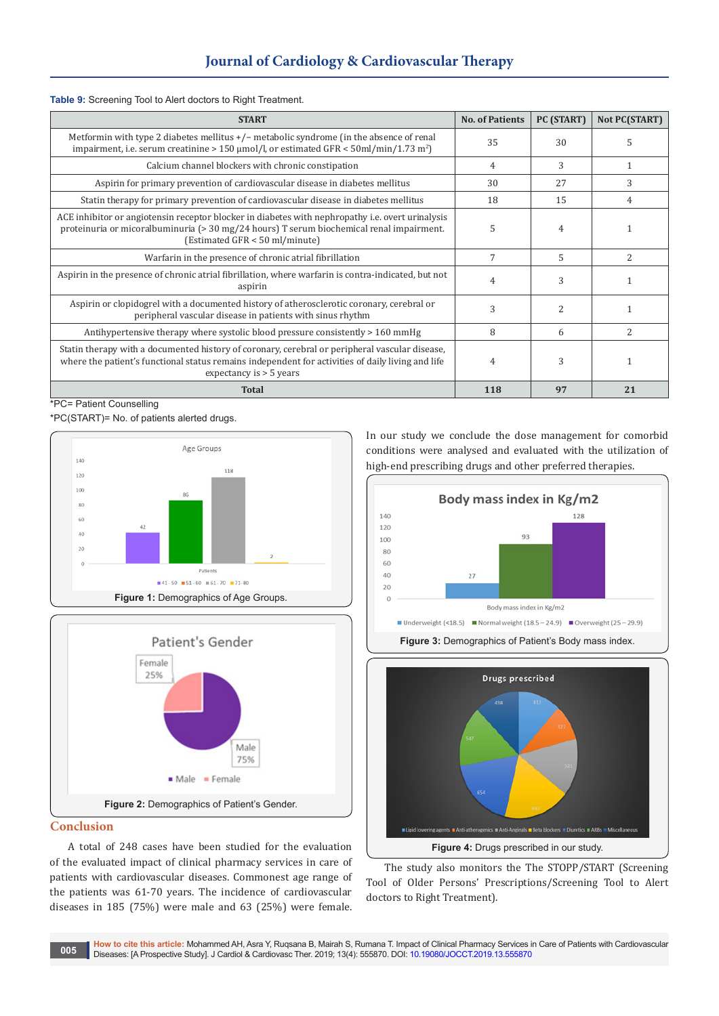#### **Table 9:** Screening Tool to Alert doctors to Right Treatment.

| <b>START</b>                                                                                                                                                                                                                             | <b>No. of Patients</b> | PC (START)    | Not PC(START)  |
|------------------------------------------------------------------------------------------------------------------------------------------------------------------------------------------------------------------------------------------|------------------------|---------------|----------------|
| Metformin with type 2 diabetes mellitus $+/-$ metabolic syndrome (in the absence of renal<br>impairment, i.e. serum creatinine > 150 $\mu$ mol/l, or estimated GFR < 50ml/min/1.73 m <sup>2</sup> )                                      | 35                     | 30            | 5              |
| Calcium channel blockers with chronic constipation                                                                                                                                                                                       | 4                      | 3             | 1              |
| Aspirin for primary prevention of cardiovascular disease in diabetes mellitus                                                                                                                                                            | 30                     | 2.7           | 3              |
| Statin therapy for primary prevention of cardiovascular disease in diabetes mellitus                                                                                                                                                     | 18                     | 15            | 4              |
| ACE inhibitor or angiotensin receptor blocker in diabetes with nephropathy <i>i.e.</i> overt urinalysis<br>proteinuria or micoralbuminuria ( $>$ 30 mg/24 hours) T serum biochemical renal impairment.<br>(Estimated GFR < 50 ml/minute) | 5                      | 4             |                |
| Warfarin in the presence of chronic atrial fibrillation                                                                                                                                                                                  | 7                      | 5             | $\overline{2}$ |
| Aspirin in the presence of chronic atrial fibrillation, where warfarin is contra-indicated, but not<br>aspirin                                                                                                                           | 4                      | 3             |                |
| Aspirin or clopidogrel with a documented history of atherosclerotic coronary, cerebral or<br>peripheral vascular disease in patients with sinus rhythm                                                                                   | 3                      | $\mathcal{L}$ |                |
| Antihypertensive therapy where systolic blood pressure consistently $> 160$ mmHg                                                                                                                                                         | 8                      | 6             | 2              |
| Statin therapy with a documented history of coronary, cerebral or peripheral vascular disease,<br>where the patient's functional status remains independent for activities of daily living and life<br>expectancy is $>$ 5 years         | 4                      | 3             |                |
| <b>Total</b>                                                                                                                                                                                                                             | 118                    | 97            | 21             |

\*PC= Patient Counselling

\*PC(START)= No. of patients alerted drugs.





# **Conclusion**

A total of 248 cases have been studied for the evaluation of the evaluated impact of clinical pharmacy services in care of patients with cardiovascular diseases. Commonest age range of the patients was 61-70 years. The incidence of cardiovascular diseases in 185 (75%) were male and 63 (25%) were female.

In our study we conclude the dose management for comorbid conditions were analysed and evaluated with the utilization of high-end prescribing drugs and other preferred therapies.





The study also monitors the The STOPP/START (Screening Tool of Older Persons' Prescriptions/Screening Tool to Alert doctors to Right Treatment).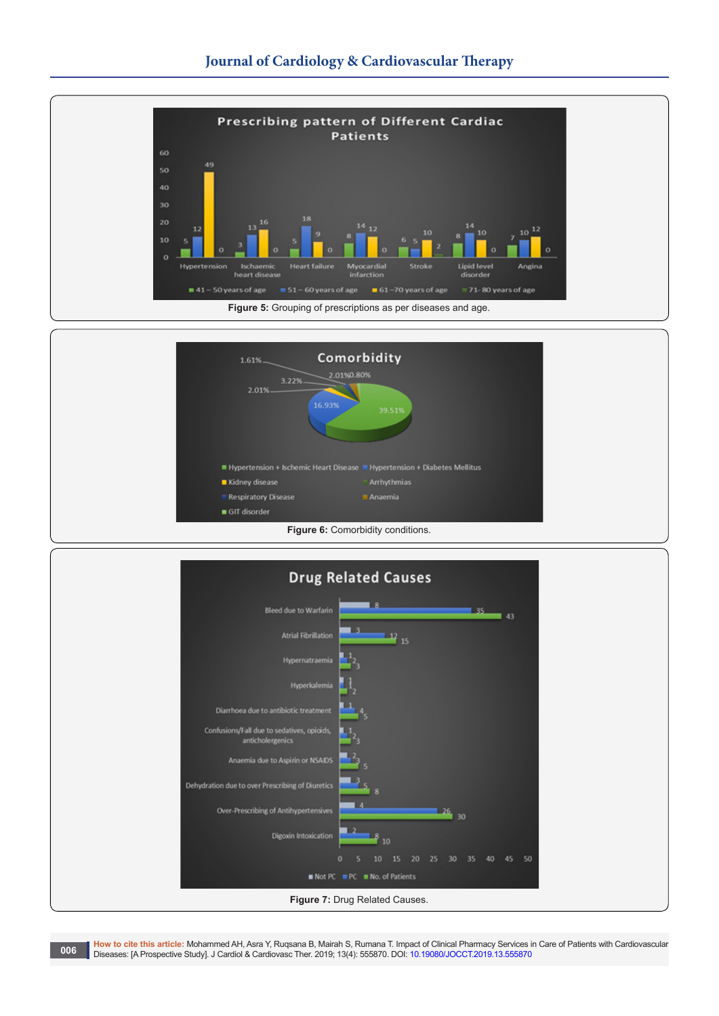



| <b>Drug Related Causes</b>                                     |                                                                |  |  |  |
|----------------------------------------------------------------|----------------------------------------------------------------|--|--|--|
| <b>Bleed due to Warfarin</b>                                   | $-35.$<br>143                                                  |  |  |  |
| <b>Atrial Fibrillation</b>                                     | ಾ<br>12 15                                                     |  |  |  |
| Hypernatraemia                                                 |                                                                |  |  |  |
| Hyperkalemia                                                   |                                                                |  |  |  |
| Diarrhoea due to antibiotic treatment                          |                                                                |  |  |  |
| Confusions/Fall due to sedatives, opioids,<br>anticholergenics |                                                                |  |  |  |
| Anaemia due to Aspirin or NSAIDS                               | ĽЗ                                                             |  |  |  |
| Dehydration due to over Prescribing of Diuretics               |                                                                |  |  |  |
| Over-Prescribing of Antihypertensives                          | 26 30                                                          |  |  |  |
| Digoxin Intoxication                                           | 10                                                             |  |  |  |
|                                                                | 50<br>20<br>$\Omega$<br>15<br>25<br>30<br>35<br>40<br>45<br>10 |  |  |  |
| Not PC PC No. of Patients                                      |                                                                |  |  |  |
| Figure 7: Drug Related Causes.                                 |                                                                |  |  |  |

**How to cite this article:** Mohammed AH, Asra Y, Ruqsana B, Mairah S, Rumana T. Impact of Clinical Pharmacy Services in Care of Patients with Cardiovascular Diseases: [A Prospective Study]. J Cardiol & Cardiovasc Ther. 2019; 13(4): 555870. DOI: [10.19080/JOCCT.2019.13.555870](http://dx.doi.org/10.19080/JOCCT.2019.13.555870) **006**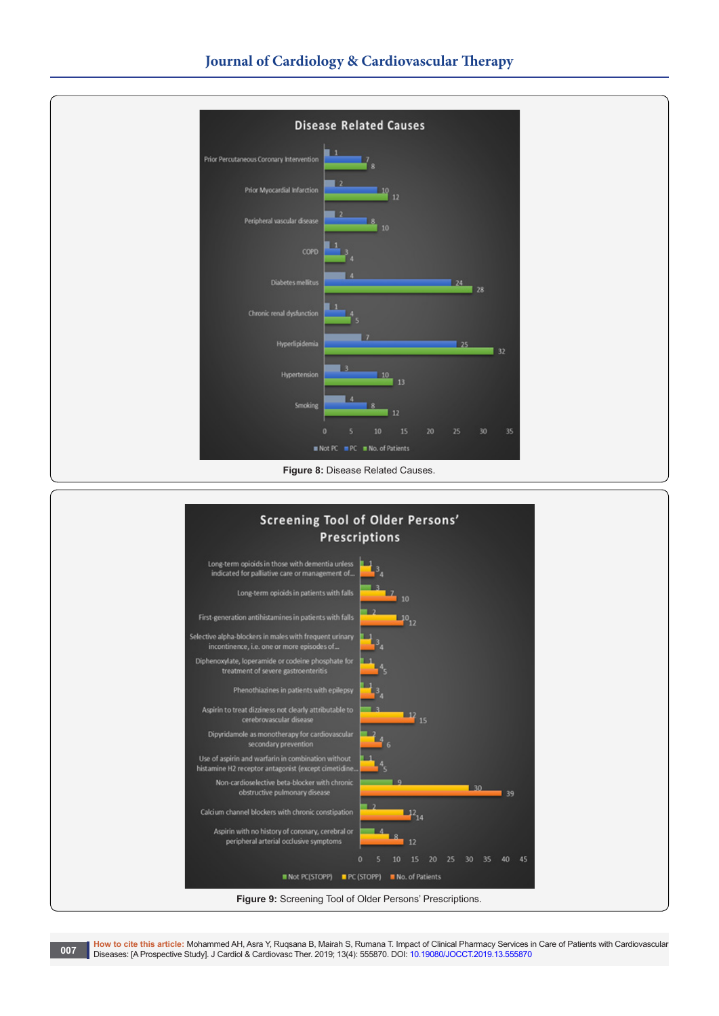

**How to cite this article:** Mohammed AH, Asra Y, Ruqsana B, Mairah S, Rumana T. Impact of Clinical Pharmacy Services in Care of Patients with Cardiovascular Diseases: [A Prospective Study]. J Cardiol & Cardiovasc Ther. 2019; 13(4): 555870. DOI: [10.19080/JOCCT.2019.13.555870](http://dx.doi.org/10.19080/JOCCT.2019.13.555870)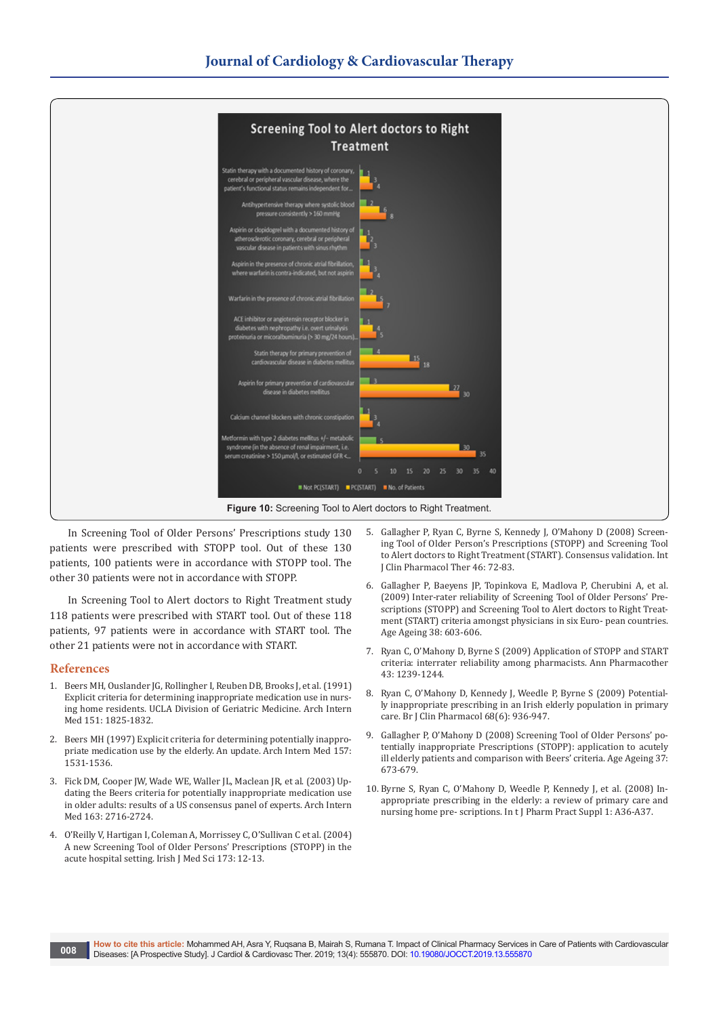

In Screening Tool of Older Persons' Prescriptions study 130 patients were prescribed with STOPP tool. Out of these 130 patients, 100 patients were in accordance with STOPP tool. The other 30 patients were not in accordance with STOPP.

In Screening Tool to Alert doctors to Right Treatment study 118 patients were prescribed with START tool. Out of these 118 patients, 97 patients were in accordance with START tool. The other 21 patients were not in accordance with START.

#### **References**

- 1. [Beers MH, Ouslander JG, Rollingher I, Reuben DB, Brooks J, et al. \(1991\)](https://www.ncbi.nlm.nih.gov/pubmed/1888249)  [Explicit criteria for determining inappropriate medication use in nurs](https://www.ncbi.nlm.nih.gov/pubmed/1888249)[ing home residents. UCLA Division of Geriatric Medicine. Arch Intern](https://www.ncbi.nlm.nih.gov/pubmed/1888249)  [Med 151: 1825-1832.](https://www.ncbi.nlm.nih.gov/pubmed/1888249)
- 2. [Beers MH \(1997\) Explicit criteria for determining potentially inappro](https://www.ncbi.nlm.nih.gov/pubmed/9236554)[priate medication use by the elderly. An update. Arch Intern Med 157:](https://www.ncbi.nlm.nih.gov/pubmed/9236554)  [1531-1536.](https://www.ncbi.nlm.nih.gov/pubmed/9236554)
- 3. [Fick DM, Cooper JW, Wade WE, Waller JL, Maclean JR, et al. \(2003\) Up](https://www.ncbi.nlm.nih.gov/pubmed/14662625)[dating the Beers criteria for potentially inappropriate medication use](https://www.ncbi.nlm.nih.gov/pubmed/14662625)  [in older adults: results of a US consensus panel of experts. Arch Intern](https://www.ncbi.nlm.nih.gov/pubmed/14662625)  [Med 163: 2716-2724.](https://www.ncbi.nlm.nih.gov/pubmed/14662625)
- 4. O'Reilly V, Hartigan I, Coleman A, Morrissey C, O'Sullivan C et al. (2004) A new Screening Tool of Older Persons' Prescriptions (STOPP) in the acute hospital setting. Irish J Med Sci 173: 12-13.
- 5. [Gallagher P, Ryan C, Byrne S, Kennedy J, O'Mahony D \(2008\) Screen](https://www.ncbi.nlm.nih.gov/pubmed/18218287)[ing Tool of Older Person's Prescriptions \(STOPP\) and Screening Tool](https://www.ncbi.nlm.nih.gov/pubmed/18218287)  [to Alert doctors to Right Treatment \(START\). Consensus validation. Int](https://www.ncbi.nlm.nih.gov/pubmed/18218287)  [J Clin Pharmacol Ther 46: 72-83.](https://www.ncbi.nlm.nih.gov/pubmed/18218287)
- 6. [Gallagher P, Baeyens JP, Topinkova E, Madlova P, Cherubini A, et al.](https://www.ncbi.nlm.nih.gov/pubmed/19435757)  [\(2009\) Inter-rater reliability of Screening Tool of Older Persons' Pre](https://www.ncbi.nlm.nih.gov/pubmed/19435757)[scriptions \(STOPP\) and Screening Tool to Alert doctors to Right Treat](https://www.ncbi.nlm.nih.gov/pubmed/19435757)[ment \(START\) criteria amongst physicians in six Euro- pean countries.](https://www.ncbi.nlm.nih.gov/pubmed/19435757)  [Age Ageing 38: 603-606.](https://www.ncbi.nlm.nih.gov/pubmed/19435757)
- 7. [Ryan C, O'Mahony D, Byrne S \(2009\) Application of STOPP and START](https://www.ncbi.nlm.nih.gov/pubmed/19584381)  [criteria: interrater reliability among pharmacists. Ann Pharmacother](https://www.ncbi.nlm.nih.gov/pubmed/19584381)  [43: 1239-1244.](https://www.ncbi.nlm.nih.gov/pubmed/19584381)
- 8. [Ryan C, O'Mahony D, Kennedy J, Weedle P, Byrne S \(2009\) Potential](https://www.ncbi.nlm.nih.gov/pubmed/20002089)[ly inappropriate prescribing in an Irish elderly population in primary](https://www.ncbi.nlm.nih.gov/pubmed/20002089)  [care. Br J Clin Pharmacol 68\(6\): 936-947.](https://www.ncbi.nlm.nih.gov/pubmed/20002089)
- 9. [Gallagher P, O'Mahony D \(2008\) Screening Tool of Older Persons' po](https://www.ncbi.nlm.nih.gov/pubmed/18829684)[tentially inappropriate Prescriptions \(STOPP\): application to acutely](https://www.ncbi.nlm.nih.gov/pubmed/18829684)  [ill elderly patients and comparison with Beers' criteria. Age Ageing 37:](https://www.ncbi.nlm.nih.gov/pubmed/18829684)  [673-679.](https://www.ncbi.nlm.nih.gov/pubmed/18829684)
- 10. [Byrne S, Ryan C, O'Mahony D, Weedle P, Kennedy J, et al. \(2008\) In](https://www.ncbi.nlm.nih.gov/pubmed/17381661)[appropriate prescribing in the elderly: a review of primary care and](https://www.ncbi.nlm.nih.gov/pubmed/17381661)  [nursing home pre- scriptions. In t J Pharm Pract Suppl 1: A36-A37.](https://www.ncbi.nlm.nih.gov/pubmed/17381661)